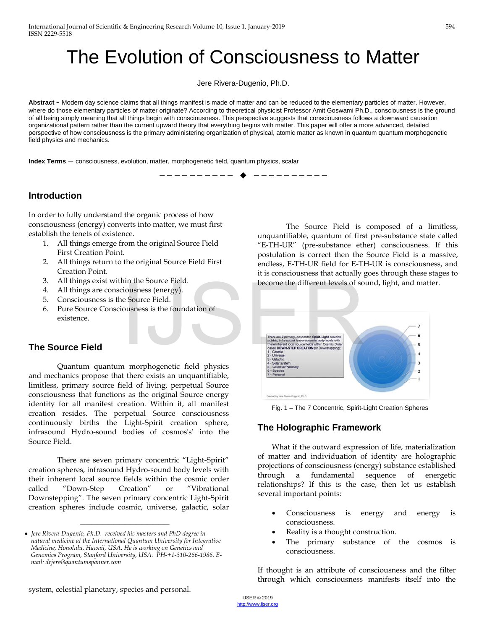# The Evolution of Consciousness to Matter

Jere Rivera-Dugenio, Ph.D.

**Abstract -** Modern day science claims that all things manifest is made of matter and can be reduced to the elementary particles of matter. However, where do those elementary particles of matter originate? According to theoretical physicist Professor Amit Goswami Ph.D., consciousness is the ground of all being simply meaning that all things begin with consciousness. This perspective suggests that consciousness follows a downward causation organizational pattern rather than the current upward theory that everything begins with matter. This paper will offer a more advanced, detailed perspective of how consciousness is the primary administering organization of physical, atomic matter as known in quantum quantum morphogenetic field physics and mechanics.

—————————— ——————————

**Index Terms –** consciousness, evolution, matter, morphogenetic field, quantum physics, scalar

# **Introduction**

In order to fully understand the organic process of how consciousness (energy) converts into matter, we must first establish the tenets of existence.

- 1. All things emerge from the original Source Field First Creation Point.
- 2. All things return to the original Source Field First Creation Point.
- 3. All things exist within the Source Field.
- 4. All things are consciousness (energy).
- 5. Consciousness is the Source Field.
- 6. Pure Source Consciousness is the foundation of existence.

# **The Source Field**

Quantum quantum morphogenetic field physics and mechanics propose that there exists an unquantifiable, limitless, primary source field of living, perpetual Source consciousness that functions as the original Source energy identity for all manifest creation. Within it, all manifest creation resides. The perpetual Source consciousness continuously births the Light-Spirit creation sphere, infrasound Hydro-sound bodies of cosmos's' into the Source Field.

There are seven primary concentric "Light-Spirit" creation spheres, infrasound Hydro-sound body levels with their inherent local source fields within the cosmic order called "Down-Step Creation" or "Vibrational Downstepping". The seven primary concentric Light-Spirit creation spheres include cosmic, universe, galactic, solar

————————————————

The Source Field is composed of a limitless, unquantifiable, quantum of first pre-substance state called "E-TH-UR" (pre-substance ether) consciousness. If this postulation is correct then the Source Field is a massive, endless, E-TH-UR field for E-TH-UR is consciousness, and it is consciousness that actually goes through these stages to become the different levels of sound, light, and matter.



Fig. 1 – The 7 Concentric, Spirit-Light Creation Spheres

# **The Holographic Framework**

What if the outward expression of life, materialization of matter and individuation of identity are holographic projections of consciousness (energy) substance established through a fundamental sequence of energetic relationships? If this is the case, then let us establish several important points:

- Consciousness is energy and energy is consciousness.
- Reality is a thought construction.
- The primary substance of the cosmos is consciousness.

If thought is an attribute of consciousness and the filter through which consciousness manifests itself into the

<sup>•</sup> *Jere Rivera-Dugenio, Ph.D. received his masters and PhD degree in natural medicine at the International Quantum University for Integrative Medicine, Honolulu, Hawaii, USA. He is working on Genetics and*  Genomics Program, Stanford University, USA. PH-+1-310-266-1986. E*mail: drjere@quantumspanner.com*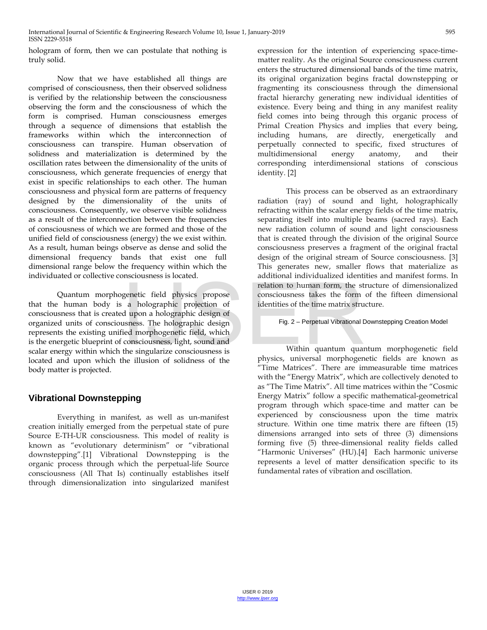hologram of form, then we can postulate that nothing is truly solid.

Now that we have established all things are comprised of consciousness, then their observed solidness is verified by the relationship between the consciousness observing the form and the consciousness of which the form is comprised. Human consciousness emerges through a sequence of dimensions that establish the frameworks within which the interconnection of consciousness can transpire. Human observation of solidness and materialization is determined by the oscillation rates between the dimensionality of the units of consciousness, which generate frequencies of energy that exist in specific relationships to each other. The human consciousness and physical form are patterns of frequency designed by the dimensionality of the units of consciousness. Consequently, we observe visible solidness as a result of the interconnection between the frequencies of consciousness of which we are formed and those of the unified field of consciousness (energy) the we exist within. As a result, human beings observe as dense and solid the dimensional frequency bands that exist one full dimensional range below the frequency within which the individuated or collective consciousness is located.

Quantum morphogenetic field physics propose that the human body is a holographic projection of consciousness that is created upon a holographic design of organized units of consciousness. The holographic design represents the existing unified morphogenetic field, which is the energetic blueprint of consciousness, light, sound and scalar energy within which the singularize consciousness is located and upon which the illusion of solidness of the body matter is projected. metric field physics propose<br>
a holographic projection of<br>
dupon a holographic design of<br>
identities of the time matrix strudupon a holographic design of<br>
since the singularize consciousness is<br>
the singularize consciousne

# **Vibrational Downstepping**

Everything in manifest, as well as un-manifest creation initially emerged from the perpetual state of pure Source E-TH-UR consciousness. This model of reality is known as "evolutionary determinism" or "vibrational downstepping".[1] Vibrational Downstepping is the organic process through which the perpetual-life Source consciousness (All That Is) continually establishes itself through dimensionalization into singularized manifest

expression for the intention of experiencing space-timematter reality. As the original Source consciousness current enters the structured dimensional bands of the time matrix, its original organization begins fractal downstepping or fragmenting its consciousness through the dimensional fractal hierarchy generating new individual identities of existence. Every being and thing in any manifest reality field comes into being through this organic process of Primal Creation Physics and implies that every being, including humans, are directly, energetically and perpetually connected to specific, fixed structures of multidimensional energy anatomy, and their corresponding interdimensional stations of conscious identity. [2]

This process can be observed as an extraordinary radiation (ray) of sound and light, holographically refracting within the scalar energy fields of the time matrix, separating itself into multiple beams (sacred rays). Each new radiation column of sound and light consciousness that is created through the division of the original Source consciousness preserves a fragment of the original fractal design of the original stream of Source consciousness. [3] This generates new, smaller flows that materialize as additional individualized identities and manifest forms. In relation to human form, the structure of dimensionalized consciousness takes the form of the fifteen dimensional identities of the time matrix structure.

Fig. 2 – Perpetual Vibrational Downstepping Creation Model

Within quantum quantum morphogenetic field physics, universal morphogenetic fields are known as "Time Matrices". There are immeasurable time matrices with the "Energy Matrix", which are collectively denoted to as "The Time Matrix". All time matrices within the "Cosmic Energy Matrix" follow a specific mathematical-geometrical program through which space-time and matter can be experienced by consciousness upon the time matrix structure. Within one time matrix there are fifteen (15) dimensions arranged into sets of three (3) dimensions forming five (5) three-dimensional reality fields called "Harmonic Universes" (HU).[4] Each harmonic universe represents a level of matter densification specific to its fundamental rates of vibration and oscillation.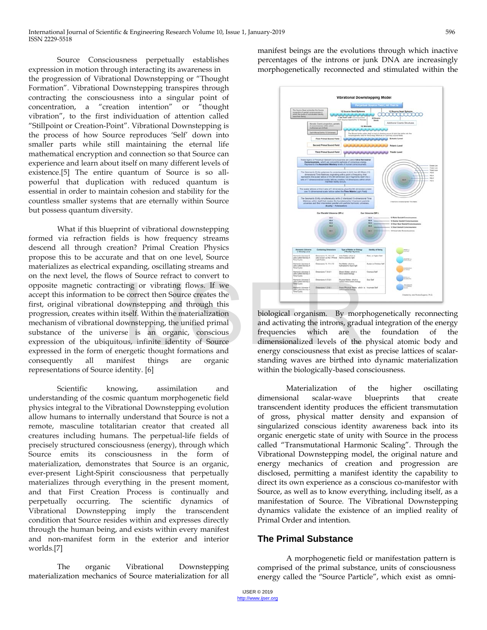Source Consciousness perpetually establishes expression in motion through interacting its awareness in the progression of Vibrational Downstepping or "Thought Formation". Vibrational Downstepping transpires through contracting the consciousness into a singular point of concentration, a "creation intention" or "thought vibration", to the first individuation of attention called "Stillpoint or Creation-Point". Vibrational Downstepping is the process of how Source reproduces 'Self' down into smaller parts while still maintaining the eternal life mathematical encryption and connection so that Source can experience and learn about itself on many different levels of existence.[5] The entire quantum of Source is so allpowerful that duplication with reduced quantum is essential in order to maintain cohesion and stability for the countless smaller systems that are eternally within Source but possess quantum diversity.

What if this blueprint of vibrational downstepping formed via refraction fields is how frequency streams descend all through creation? Primal Creation Physics propose this to be accurate and that on one level, Source materializes as electrical expanding, oscillating streams and on the next level, the flows of Source refract to convert to opposite magnetic contracting or vibrating flows. If we accept this information to be correct then Source creates the first, original vibrational downstepping and through this progression, creates within itself. Within the materialization mechanism of vibrational downstepping, the unified primal substance of the universe is an organic, conscious expression of the ubiquitous, infinite identity of Source expressed in the form of energetic thought formations and consequently all manifest things are organic representations of Source identity. [6] Fing or vibrating flows. If we<br>
e correct then Source creates the<br>
ownstepping and through this<br>
itself. Within the materialization<br>
biological organism. By morp<br>
ownstepping, the unified primal<br>
se is an organic, consciou

Scientific knowing, assimilation and understanding of the cosmic quantum morphogenetic field physics integral to the Vibrational Downstepping evolution allow humans to internally understand that Source is not a remote, masculine totalitarian creator that created all creatures including humans. The perpetual-life fields of precisely structured consciousness (energy), through which Source emits its consciousness in the form of materialization, demonstrates that Source is an organic, ever-present Light-Spirit consciousness that perpetually materializes through everything in the present moment, and that First Creation Process is continually and perpetually occurring. The scientific dynamics of Vibrational Downstepping imply the transcendent condition that Source resides within and expresses directly through the human being, and exists within every manifest and non-manifest form in the exterior and interior worlds.[7]

The organic Vibrational Downstepping materialization mechanics of Source materialization for all manifest beings are the evolutions through which inactive percentages of the introns or junk DNA are increasingly morphogenetically reconnected and stimulated within the



biological organism. By morphogenetically reconnecting and activating the introns, gradual integration of the energy frequencies which are the foundation of the dimensionalized levels of the physical atomic body and energy consciousness that exist as precise lattices of scalarstanding waves are birthed into dynamic materialization within the biologically-based consciousness.

Materialization of the higher oscillating dimensional scalar-wave blueprints that create transcendent identity produces the efficient transmutation of gross, physical matter density and expansion of singularized conscious identity awareness back into its organic energetic state of unity with Source in the process called "Transmutational Harmonic Scaling". Through the Vibrational Downstepping model, the original nature and energy mechanics of creation and progression are disclosed, permitting a manifest identity the capability to direct its own experience as a conscious co-manifestor with Source, as well as to know everything, including itself, as a manifestation of Source. The Vibrational Downstepping dynamics validate the existence of an implied reality of Primal Order and intention.

# **The Primal Substance**

A morphogenetic field or manifestation pattern is comprised of the primal substance, units of consciousness energy called the "Source Particle", which exist as omni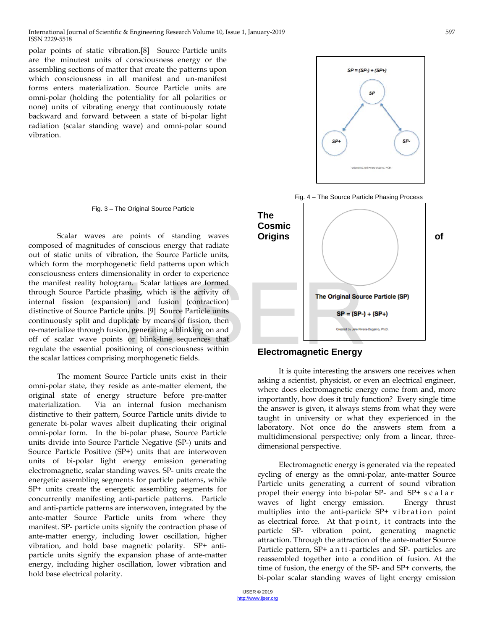polar points of static vibration.[8] Source Particle units are the minutest units of consciousness energy or the assembling sections of matter that create the patterns upon which consciousness in all manifest and un-manifest forms enters materialization. Source Particle units are omni-polar (holding the potentiality for all polarities or none) units of vibrating energy that continuously rotate backward and forward between a state of bi-polar light radiation (scalar standing wave) and omni-polar sound vibration.

#### Fig. 3 – The Original Source Particle

Scalar waves are points of standing waves composed of magnitudes of conscious energy that radiate out of static units of vibration, the Source Particle units, which form the morphogenetic field patterns upon which consciousness enters dimensionality in order to experience the manifest reality hologram. Scalar lattices are formed through Source Particle phasing, which is the activity of internal fission (expansion) and fusion (contraction) distinctive of Source Particle units. [9] Source Particle units continuously split and duplicate by means of fission, then re-materialize through fusion, generating a blinking on and off of scalar wave points or blink-line sequences that regulate the essential positioning of consciousness within the scalar lattices comprising morphogenetic fields. am. Scalar lattices are formed<br>
aasing, which is the activity of<br>
n) and fusion (contraction)<br>
e units. [9] Source Particle units<br>
licate by means of fission, then<br>
n, generating a blinking on and<br>
s or blink-line sequence

The moment Source Particle units exist in their omni-polar state, they reside as ante-matter element, the original state of energy structure before pre-matter materialization. Via an internal fusion mechanism distinctive to their pattern, Source Particle units divide to generate bi-polar waves albeit duplicating their original omni-polar form. In the bi-polar phase, Source Particle units divide into Source Particle Negative (SP-) units and Source Particle Positive (SP+) units that are interwoven units of bi-polar light energy emission generating electromagnetic, scalar standing waves. SP- units create the energetic assembling segments for particle patterns, while SP+ units create the energetic assembling segments for concurrently manifesting anti-particle patterns. Particle and anti-particle patterns are interwoven, integrated by the ante-matter Source Particle units from where they manifest. SP- particle units signify the contraction phase of ante-matter energy, including lower oscillation, higher vibration, and hold base magnetic polarity. SP+ antiparticle units signify the expansion phase of ante-matter energy, including higher oscillation, lower vibration and hold base electrical polarity.



#### **Electromagnetic Energy**

It is quite interesting the answers one receives when asking a scientist, physicist, or even an electrical engineer, where does electromagnetic energy come from and, more importantly, how does it truly function? Every single time the answer is given, it always stems from what they were taught in university or what they experienced in the laboratory. Not once do the answers stem from a multidimensional perspective; only from a linear, threedimensional perspective.

Electromagnetic energy is generated via the repeated cycling of energy as the omni-polar, ante-matter Source Particle units generating a current of sound vibration propel their energy into bi-polar SP- and SP+ scalar waves of light energy emission. Energy thrust multiplies into the anti-particle SP+ vibration point as electrical force. At that point, it contracts into the particle SP- vibration point, generating magnetic attraction. Through the attraction of the ante-matter Source Particle pattern, SP+ anti -particles and SP- particles are reassembled together into a condition of fusion. At the time of fusion, the energy of the SP- and SP+ converts, the bi-polar scalar standing waves of light energy emission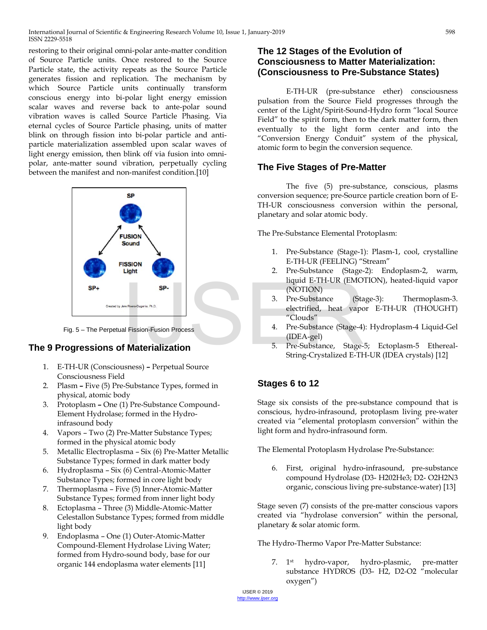restoring to their original omni-polar ante-matter condition of Source Particle units. Once restored to the Source Particle state, the activity repeats as the Source Particle generates fission and replication. The mechanism by which Source Particle units continually transform conscious energy into bi-polar light energy emission scalar waves and reverse back to ante-polar sound vibration waves is called Source Particle Phasing. Via eternal cycles of Source Particle phasing, units of matter blink on through fission into bi-polar particle and antiparticle materialization assembled upon scalar waves of light energy emission, then blink off via fusion into omnipolar, ante-matter sound vibration, perpetually cycling between the manifest and non-manifest condition.[10]



Fig. 5 – The Perpetual Fission-Fusion Process

# **The 9 Progressions of Materialization**

- 1. E-TH-UR (Consciousness)Perpetual Source Consciousness Field
- 2. Plasm Five (5) Pre-Substance Types, formed in physical, atomic body
- 3. ProtoplasmOne (1) Pre-Substance Compound-Element Hydrolase; formed in the Hydroinfrasound body
- 4. Vapors Two (2) Pre-Matter Substance Types; formed in the physical atomic body
- 5. Metallic Electroplasma Six (6) Pre-Matter Metallic Substance Types; formed in dark matter body
- 6. Hydroplasma Six (6) Central-Atomic-Matter Substance Types; formed in core light body
- 7. Thermoplasma Five (5) Inner-Atomic-Matter Substance Types; formed from inner light body
- 8. Ectoplasma Three (3) Middle-Atomic-Matter Celestallon Substance Types; formed from middle light body
- 9. Endoplasma One (1) Outer-Atomic-Matter Compound-Element Hydrolase Living Water; formed from Hydro-sound body, base for our organic 144 endoplasma water elements [11]

#### **The 12 Stages of the Evolution of Consciousness to Matter Materialization: (Consciousness to Pre-Substance States)**

E-TH-UR (pre-substance ether) consciousness pulsation from the Source Field progresses through the center of the Light/Spirit-Sound-Hydro form "local Source Field" to the spirit form, then to the dark matter form, then eventually to the light form center and into the "Conversion Energy Conduit" system of the physical, atomic form to begin the conversion sequence.

# **The Five Stages of Pre-Matter**

The five (5) pre-substance, conscious, plasms conversion sequence; pre-Source particle creation born of E-TH-UR consciousness conversion within the personal, planetary and solar atomic body.

The Pre-Substance Elemental Protoplasm:

- 1. Pre-Substance (Stage-1): Plasm-1, cool, crystalline E-TH-UR (FEELING) "Stream"
- 2. Pre-Substance (Stage-2): Endoplasm-2, warm, liquid E-TH-UR (EMOTION), heated-liquid vapor (NOTION)
- 3. Pre-Substance (Stage-3): Thermoplasm-3. electrified, heat vapor E-TH-UR (THOUGHT) "Clouds"
- 4. Pre-Substance (Stage-4): Hydroplasm-4 Liquid-Gel (IDEA-gel)
- 5. Pre-Substance, Stage-5; Ectoplasm-5 Ethereal-String-Crystalized E-TH-UR (IDEA crystals) [12]

# **Stages 6 to 12**

Stage six consists of the pre-substance compound that is conscious, hydro-infrasound, protoplasm living pre-water created via "elemental protoplasm conversion" within the light form and hydro-infrasound form.

The Elemental Protoplasm Hydrolase Pre-Substance:

6. First, original hydro-infrasound, pre-substance compound Hydrolase (D3- H202He3; D2- O2H2N3 organic, conscious living pre-substance-water) [13]

Stage seven (7) consists of the pre-matter conscious vapors created via "hydrolase conversion" within the personal, planetary & solar atomic form.

The Hydro-Thermo Vapor Pre-Matter Substance:

7. 1st hydro-vapor, hydro-plasmic, pre-matter substance HYDROS (D3- H2, D2-O2 "molecular oxygen")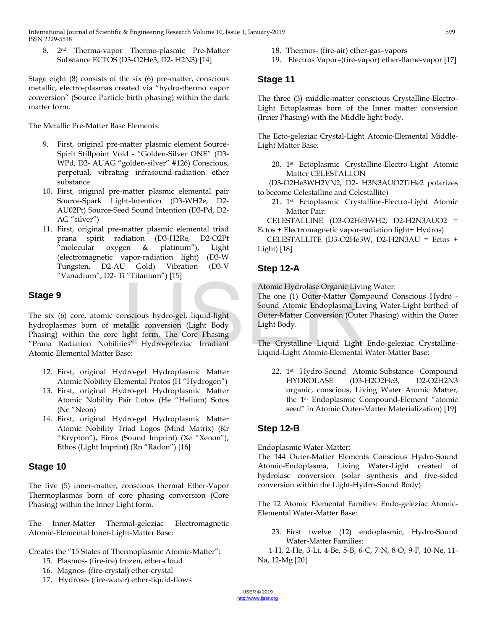8. 2nd Therma-vapor Thermo-plasmic Pre-Matter Substance ECTOS (D3-O2He3, D2- H2N3) [14]

Stage eight (8) consists of the six (6) pre-matter, conscious metallic, electro-plasmas created via "hydro-thermo vapor conversion" (Source Particle birth phasing) within the dark matter form.

The Metallic Pre-Matter Base Elements:

- 9. First, original pre-matter plasmic element Source-Spirit Stillpoint Void - "Golden-Silver ONE" (D3- WPd, D2- AUAG "golden-silver" #126) Conscious, perpetual, vibrating infrasound-radiation ether substance
- 10. First, original pre-matter plasmic elemental pair Source-Spark Light-Intention (D3-WH2e, D2- AU02Pt) Source-Seed Sound Intention (D3-Pd, D2- AG "silver")
- 11. First, original pre-matter plasmic elemental triad prana spirit radiation (D3-H2Re, D2-O2Pt "molecular oxygen & platinum"), Light (electromagnetic vapor-radiation light) (D3-W Tungsten, D2-AU Gold) Vibration (D3-V "Vanadium", D2- Ti "Titanium") [15]

# **Stage 9**

The six (6) core, atomic conscious hydro-gel, liquid-light hydroplasmas born of metallic conversion (Light Body Phasing) within the core light form. The Core Phasing "Prana Radiation Nobilities" Hydro-geleziac Irradiant Atomic-Elemental Matter Base: Atomic Hydrolase Organic Livir<br>
Ihe one (1) Outer-Matter Com<br>
Sound Atomic Endoplasma\_Liv<br>
Inscious hydro-gel, liquid-light<br>
Uuter-Matter Conversion (Outer-Matter Conversion (Outer-Matter Conversion (Outer-Matter Conversio

- 12. First, original Hydro-gel Hydroplasmic Matter Atomic Nobility Elemental Protos (H "Hydrogen")
- 13. First, original Hydro-gel Hydroplasmic Matter Atomic Nobility Pair Lotos (He "Helium) Sotos (Ne "Neon)
- 14. First, original Hydro-gel Hydroplasmic Matter Atomic Nobility Triad Logos (Mind Matrix) (Kr "Krypton"), Eiros (Sound Imprint) (Xe "Xenon"), Ethos (Light Imprint) (Rn "Radon") [16]

# **Stage 10**

The five (5) inner-matter, conscious thermal Ether-Vapor Thermoplasmas born of core phasing conversion (Core Phasing) within the Inner Light form.

The Inner-Matter Thermal-geleziac Electromagnetic Atomic-Elemental Inner-Light-Matter Base:

Creates the "15 States of Thermoplasmic Atomic-Matter":

- 15. Plasmos- (fire-ice) frozen, ether-cloud
- 16. Magnos- (fire-crystal) ether-crystal
- 17. Hydrose- (fire-water) ether-liquid-flows
- 18. Thermos- (fire-air) ether-gas–vapors
- 19. Electros Vapor–(fire-vapor) ether-flame-vapor [17]

# **Stage 11**

The three (3) middle-matter conscious Crystalline-Electro-Light Ectoplasmas born of the Inner matter conversion (Inner Phasing) with the Middle light body.

The Ecto-geleziac Crystal-Light Atomic-Elemental Middle-Light Matter Base:

20. 1st Ectoplasmic Crystalline-Electro-Light Atomic Matter CELESTALLON

 (D3-O2He3WH2VN2, D2- H3N3AUO2TiHe2 polarizes to become Celestalline and Celestallite)

21. 1st Ectoplasmic Crystalline-Electro-Light Atomic Matter Pair:

 CELESTALLINE (D3-O2He3WH2, D2-H2N3AUO2 = Ectos + Electromagnetic vapor-radiation light+ Hydros)

 CELESTALLITE (D3-O2He3W, D2-H2N3AU = Ectos + Light) [18]

# **Step 12-A**

Atomic Hydrolase Organic Living Water:

The one (1) Outer-Matter Compound Conscious Hydro - Sound Atomic Endoplasma Living Water-Light birthed of Outer-Matter Conversion (Outer Phasing) within the Outer Light Body.

The Crystalline Liquid Light Endo-geleziac Crystalline-Liquid-Light Atomic-Elemental Water-Matter Base:

22. 1st Hydro-Sound Atomic-Substance Compound HYDROLASE (D3-H2O2He3, D2-O2H2N3 organic, conscious, Living Water Atomic Matter, the 1st Endoplasmic Compound-Element "atomic seed" in Atomic Outer-Matter Materialization) [19]

# **Step 12-B**

Endoplasmic Water-Matter:

The 144 Outer-Matter Elements Conscious Hydro-Sound Atomic-Endoplasma, Living Water-Light created of hydrolase conversion (solar synthesis and five-sided conversion within the Light-Hydro-Sound Body).

The 12 Atomic Elemental Families: Endo-geleziac Atomic-Elemental Water-Matter Base:

23. First twelve (12) endoplasmic, Hydro-Sound Water-Matter Families:

 1-H, 2-He, 3-Li, 4-Be, 5-B, 6-C, 7-N, 8-O, 9-F, 10-Ne, 11- Na, 12-Mg [20]